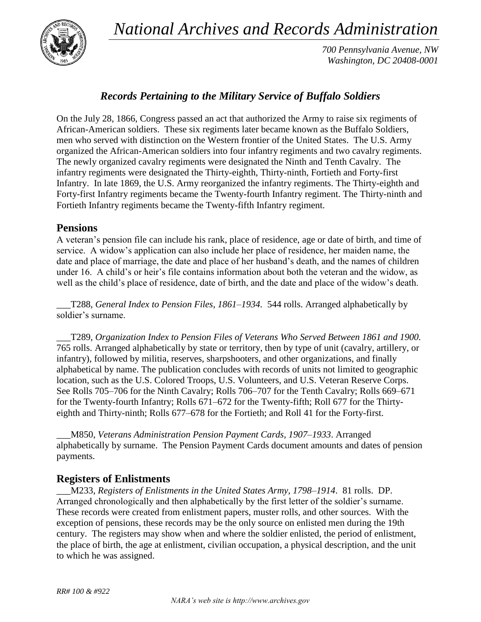*National Archives and Records Administration*



*700 Pennsylvania Avenue, NW Washington, DC 20408-0001*

# *Records Pertaining to the Military Service of Buffalo Soldiers*

On the July 28, 1866, Congress passed an act that authorized the Army to raise six regiments of African-American soldiers. These six regiments later became known as the Buffalo Soldiers, men who served with distinction on the Western frontier of the United States. The U.S. Army organized the African-American soldiers into four infantry regiments and two cavalry regiments. The newly organized cavalry regiments were designated the Ninth and Tenth Cavalry. The infantry regiments were designated the Thirty-eighth, Thirty-ninth, Fortieth and Forty-first Infantry. In late 1869, the U.S. Army reorganized the infantry regiments. The Thirty-eighth and Forty-first Infantry regiments became the Twenty-fourth Infantry regiment. The Thirty-ninth and Fortieth Infantry regiments became the Twenty-fifth Infantry regiment.

## **Pensions**

A veteran's pension file can include his rank, place of residence, age or date of birth, and time of service. A widow's application can also include her place of residence, her maiden name, the date and place of marriage, the date and place of her husband's death, and the names of children under 16. A child's or heir's file contains information about both the veteran and the widow, as well as the child's place of residence, date of birth, and the date and place of the widow's death.

\_\_\_T288, *General Index to Pension Files, 1861–1934.* 544 rolls. Arranged alphabetically by soldier's surname.

\_\_\_T289, *Organization Index to Pension Files of Veterans Who Served Between 1861 and 1900.*  765 rolls. Arranged alphabetically by state or territory, then by type of unit (cavalry, artillery, or infantry), followed by militia, reserves, sharpshooters, and other organizations, and finally alphabetical by name. The publication concludes with records of units not limited to geographic location, such as the U.S. Colored Troops, U.S. Volunteers, and U.S. Veteran Reserve Corps. See Rolls 705–706 for the Ninth Cavalry; Rolls 706–707 for the Tenth Cavalry; Rolls 669–671 for the Twenty-fourth Infantry; Rolls 671–672 for the Twenty-fifth; Roll 677 for the Thirtyeighth and Thirty-ninth; Rolls 677–678 for the Fortieth; and Roll 41 for the Forty-first.

\_\_\_M850, *Veterans Administration Pension Payment Cards, 1907–1933*. Arranged alphabetically by surname. The Pension Payment Cards document amounts and dates of pension payments.

## **Registers of Enlistments**

\_\_\_M233, *Registers of Enlistments in the United States Army, 1798–1914*. 81 rolls. DP. Arranged chronologically and then alphabetically by the first letter of the soldier's surname. These records were created from enlistment papers, muster rolls, and other sources. With the exception of pensions, these records may be the only source on enlisted men during the 19th century. The registers may show when and where the soldier enlisted, the period of enlistment, the place of birth, the age at enlistment, civilian occupation, a physical description, and the unit to which he was assigned.